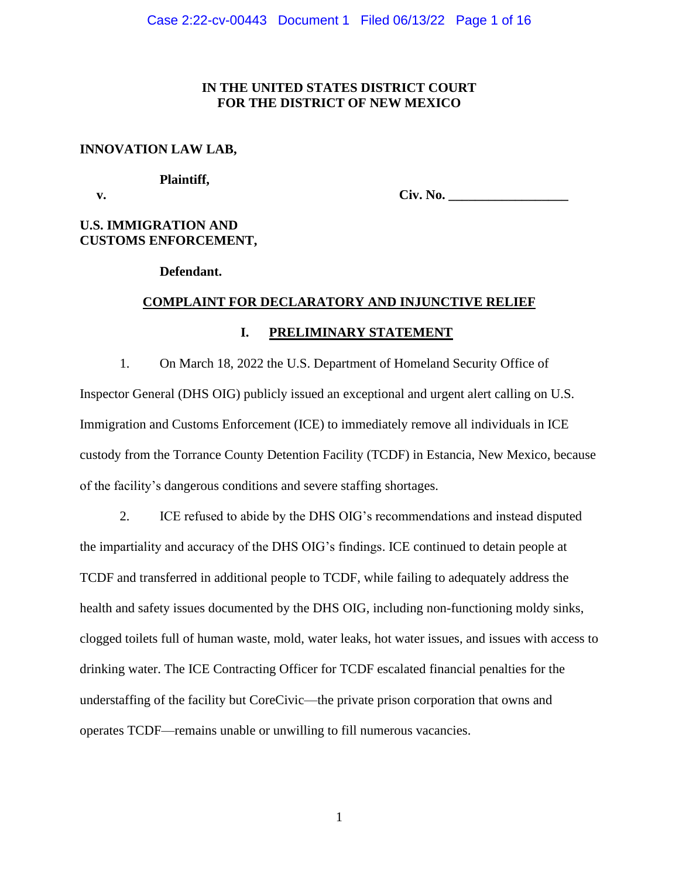## **IN THE UNITED STATES DISTRICT COURT FOR THE DISTRICT OF NEW MEXICO**

## **INNOVATION LAW LAB,**

#### **Plaintiff,**

 **v. Civ. No. \_\_\_\_\_\_\_\_\_\_\_\_\_\_\_\_\_\_**

# **U.S. IMMIGRATION AND CUSTOMS ENFORCEMENT,**

## **Defendant.**

## **COMPLAINT FOR DECLARATORY AND INJUNCTIVE RELIEF**

## **I. PRELIMINARY STATEMENT**

1. On March 18, 2022 the U.S. Department of Homeland Security Office of Inspector General (DHS OIG) publicly issued an exceptional and urgent alert calling on U.S. Immigration and Customs Enforcement (ICE) to immediately remove all individuals in ICE custody from the Torrance County Detention Facility (TCDF) in Estancia, New Mexico, because of the facility's dangerous conditions and severe staffing shortages.

2. ICE refused to abide by the DHS OIG's recommendations and instead disputed the impartiality and accuracy of the DHS OIG's findings. ICE continued to detain people at TCDF and transferred in additional people to TCDF, while failing to adequately address the health and safety issues documented by the DHS OIG, including non-functioning moldy sinks, clogged toilets full of human waste, mold, water leaks, hot water issues, and issues with access to drinking water. The ICE Contracting Officer for TCDF escalated financial penalties for the understaffing of the facility but CoreCivic—the private prison corporation that owns and operates TCDF—remains unable or unwilling to fill numerous vacancies.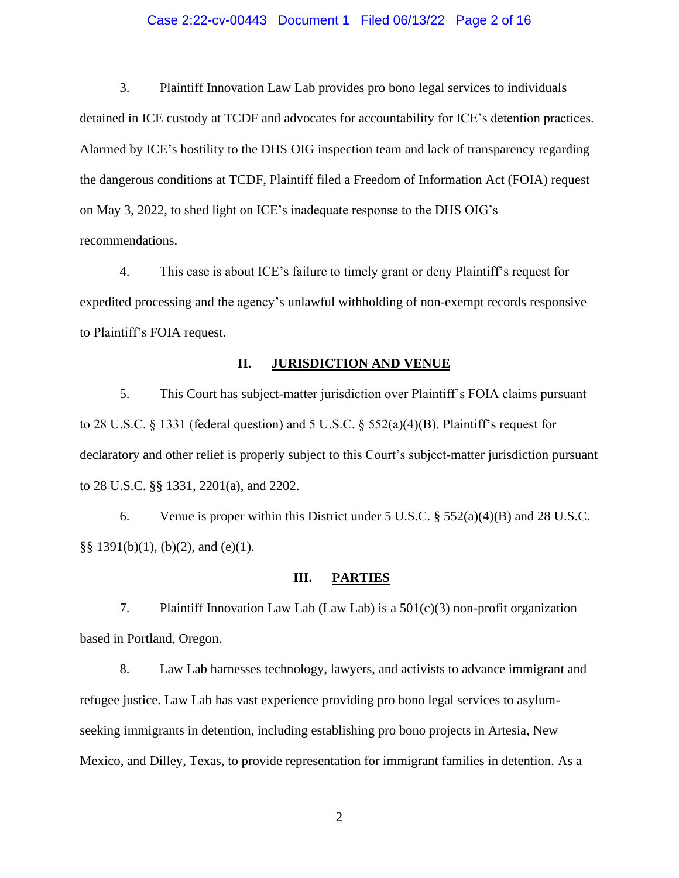## Case 2:22-cv-00443 Document 1 Filed 06/13/22 Page 2 of 16

3. Plaintiff Innovation Law Lab provides pro bono legal services to individuals detained in ICE custody at TCDF and advocates for accountability for ICE's detention practices. Alarmed by ICE's hostility to the DHS OIG inspection team and lack of transparency regarding the dangerous conditions at TCDF, Plaintiff filed a Freedom of Information Act (FOIA) request on May 3, 2022, to shed light on ICE's inadequate response to the DHS OIG's recommendations.

4. This case is about ICE's failure to timely grant or deny Plaintiff's request for expedited processing and the agency's unlawful withholding of non-exempt records responsive to Plaintiff's FOIA request.

## **II. JURISDICTION AND VENUE**

5. This Court has subject-matter jurisdiction over Plaintiff's FOIA claims pursuant to 28 U.S.C. § 1331 (federal question) and 5 U.S.C. § 552(a)(4)(B). Plaintiff's request for declaratory and other relief is properly subject to this Court's subject-matter jurisdiction pursuant to 28 U.S.C. §§ 1331, 2201(a), and 2202.

6. Venue is proper within this District under 5 U.S.C. § 552(a)(4)(B) and 28 U.S.C. §§ 1391(b)(1), (b)(2), and (e)(1).

#### **III. PARTIES**

7. Plaintiff Innovation Law Lab (Law Lab) is a 501(c)(3) non-profit organization based in Portland, Oregon.

8. Law Lab harnesses technology, lawyers, and activists to advance immigrant and refugee justice. Law Lab has vast experience providing pro bono legal services to asylumseeking immigrants in detention, including establishing pro bono projects in Artesia, New Mexico, and Dilley, Texas, to provide representation for immigrant families in detention. As a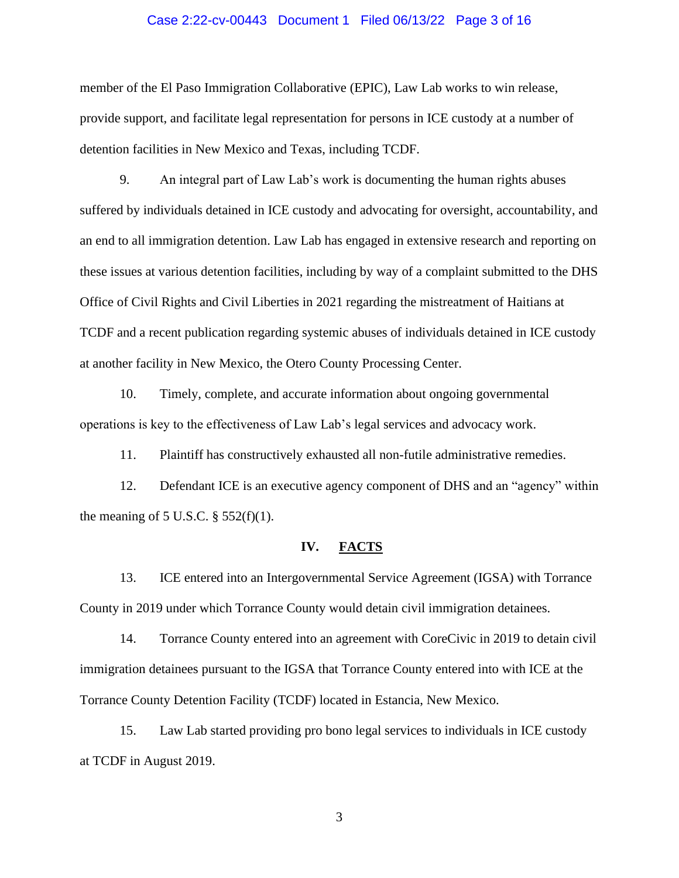#### Case 2:22-cv-00443 Document 1 Filed 06/13/22 Page 3 of 16

member of the El Paso Immigration Collaborative (EPIC), Law Lab works to win release, provide support, and facilitate legal representation for persons in ICE custody at a number of detention facilities in New Mexico and Texas, including TCDF.

9. An integral part of Law Lab's work is documenting the human rights abuses suffered by individuals detained in ICE custody and advocating for oversight, accountability, and an end to all immigration detention. Law Lab has engaged in extensive research and reporting on these issues at various detention facilities, including by way of a complaint submitted to the DHS Office of Civil Rights and Civil Liberties in 2021 regarding the mistreatment of Haitians at TCDF and a recent publication regarding systemic abuses of individuals detained in ICE custody at another facility in New Mexico, the Otero County Processing Center.

10. Timely, complete, and accurate information about ongoing governmental operations is key to the effectiveness of Law Lab's legal services and advocacy work.

11. Plaintiff has constructively exhausted all non-futile administrative remedies.

12. Defendant ICE is an executive agency component of DHS and an "agency" within the meaning of 5 U.S.C.  $\S$  552(f)(1).

#### **IV. FACTS**

13. ICE entered into an Intergovernmental Service Agreement (IGSA) with Torrance County in 2019 under which Torrance County would detain civil immigration detainees.

14. Torrance County entered into an agreement with CoreCivic in 2019 to detain civil immigration detainees pursuant to the IGSA that Torrance County entered into with ICE at the Torrance County Detention Facility (TCDF) located in Estancia, New Mexico.

15. Law Lab started providing pro bono legal services to individuals in ICE custody at TCDF in August 2019.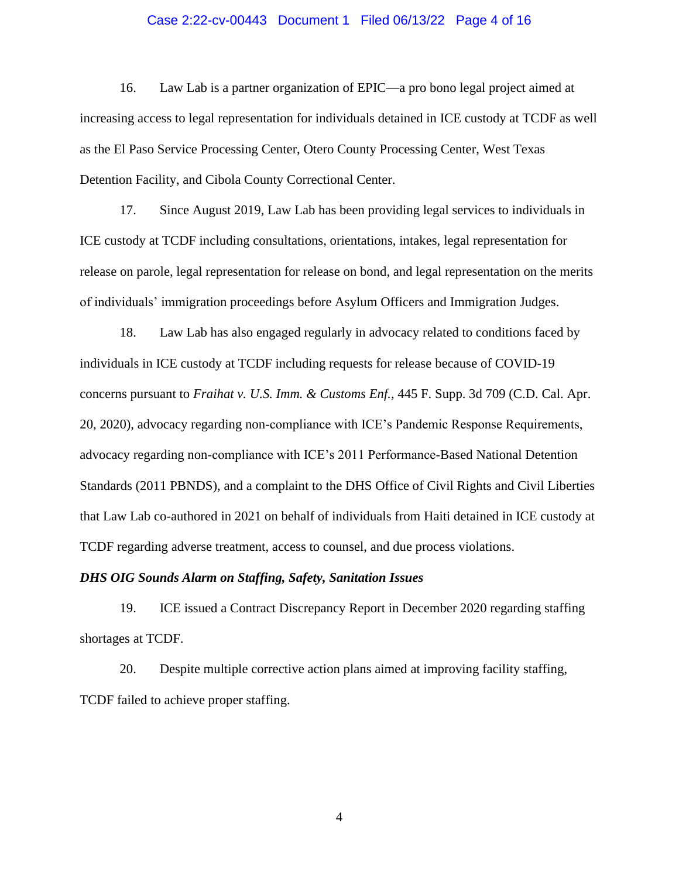#### Case 2:22-cv-00443 Document 1 Filed 06/13/22 Page 4 of 16

16. Law Lab is a partner organization of EPIC—a pro bono legal project aimed at increasing access to legal representation for individuals detained in ICE custody at TCDF as well as the El Paso Service Processing Center, Otero County Processing Center, West Texas Detention Facility, and Cibola County Correctional Center.

17. Since August 2019, Law Lab has been providing legal services to individuals in ICE custody at TCDF including consultations, orientations, intakes, legal representation for release on parole, legal representation for release on bond, and legal representation on the merits of individuals' immigration proceedings before Asylum Officers and Immigration Judges.

18. Law Lab has also engaged regularly in advocacy related to conditions faced by individuals in ICE custody at TCDF including requests for release because of COVID-19 concerns pursuant to *Fraihat v. U.S. Imm. & Customs Enf.*, 445 F. Supp. 3d 709 (C.D. Cal. Apr. 20, 2020), advocacy regarding non-compliance with ICE's Pandemic Response Requirements, advocacy regarding non-compliance with ICE's 2011 Performance-Based National Detention Standards (2011 PBNDS), and a complaint to the DHS Office of Civil Rights and Civil Liberties that Law Lab co-authored in 2021 on behalf of individuals from Haiti detained in ICE custody at TCDF regarding adverse treatment, access to counsel, and due process violations.

## *DHS OIG Sounds Alarm on Staffing, Safety, Sanitation Issues*

19. ICE issued a Contract Discrepancy Report in December 2020 regarding staffing shortages at TCDF.

20. Despite multiple corrective action plans aimed at improving facility staffing, TCDF failed to achieve proper staffing.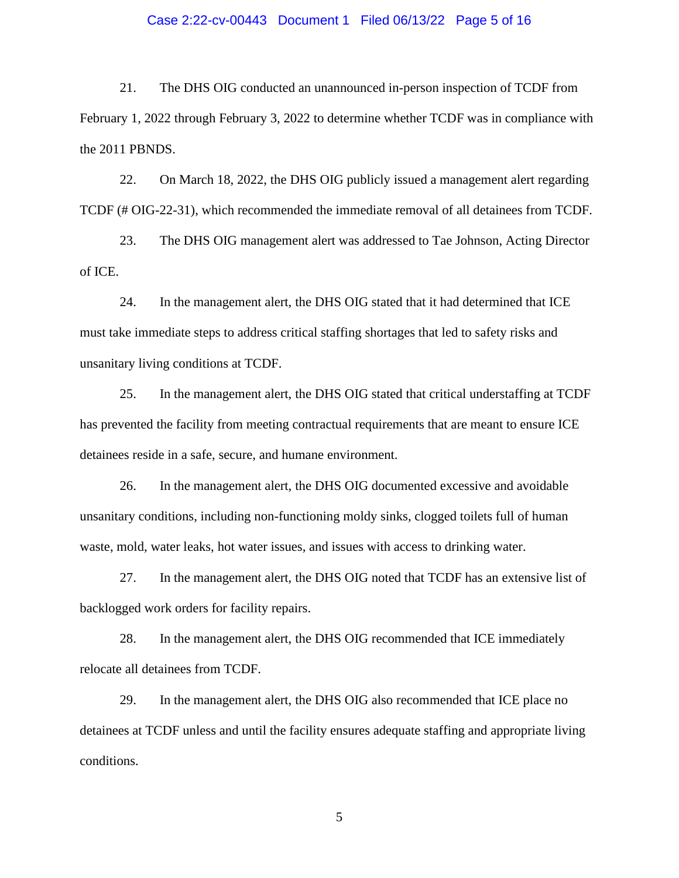## Case 2:22-cv-00443 Document 1 Filed 06/13/22 Page 5 of 16

21. The DHS OIG conducted an unannounced in-person inspection of TCDF from February 1, 2022 through February 3, 2022 to determine whether TCDF was in compliance with the 2011 PBNDS.

22. On March 18, 2022, the DHS OIG publicly issued a management alert regarding TCDF (# OIG-22-31), which recommended the immediate removal of all detainees from TCDF.

23. The DHS OIG management alert was addressed to Tae Johnson, Acting Director of ICE.

24. In the management alert, the DHS OIG stated that it had determined that ICE must take immediate steps to address critical staffing shortages that led to safety risks and unsanitary living conditions at TCDF.

25. In the management alert, the DHS OIG stated that critical understaffing at TCDF has prevented the facility from meeting contractual requirements that are meant to ensure ICE detainees reside in a safe, secure, and humane environment.

26. In the management alert, the DHS OIG documented excessive and avoidable unsanitary conditions, including non-functioning moldy sinks, clogged toilets full of human waste, mold, water leaks, hot water issues, and issues with access to drinking water.

27. In the management alert, the DHS OIG noted that TCDF has an extensive list of backlogged work orders for facility repairs.

28. In the management alert, the DHS OIG recommended that ICE immediately relocate all detainees from TCDF.

29. In the management alert, the DHS OIG also recommended that ICE place no detainees at TCDF unless and until the facility ensures adequate staffing and appropriate living conditions.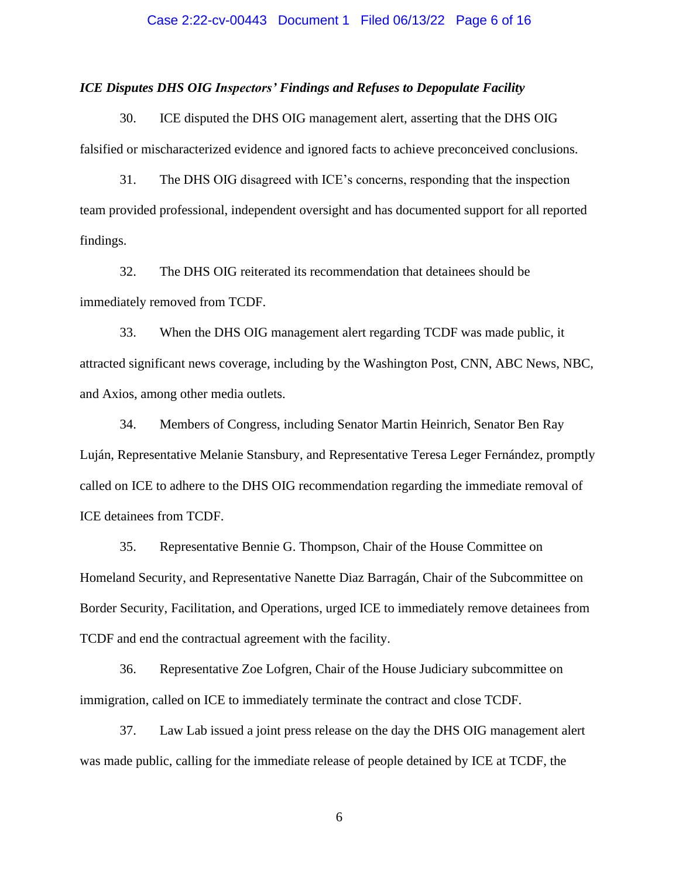#### Case 2:22-cv-00443 Document 1 Filed 06/13/22 Page 6 of 16

## *ICE Disputes DHS OIG Inspectors' Findings and Refuses to Depopulate Facility*

30. ICE disputed the DHS OIG management alert, asserting that the DHS OIG falsified or mischaracterized evidence and ignored facts to achieve preconceived conclusions.

31. The DHS OIG disagreed with ICE's concerns, responding that the inspection team provided professional, independent oversight and has documented support for all reported findings.

32. The DHS OIG reiterated its recommendation that detainees should be immediately removed from TCDF.

33. When the DHS OIG management alert regarding TCDF was made public, it attracted significant news coverage, including by the Washington Post, CNN, ABC News, NBC, and Axios, among other media outlets.

34. Members of Congress, including Senator Martin Heinrich, Senator Ben Ray Luján, Representative Melanie Stansbury, and Representative Teresa Leger Fernández, promptly called on ICE to adhere to the DHS OIG recommendation regarding the immediate removal of ICE detainees from TCDF.

35. Representative Bennie G. Thompson, Chair of the House Committee on Homeland Security, and Representative Nanette Diaz Barragán, Chair of the Subcommittee on Border Security, Facilitation, and Operations, urged ICE to immediately remove detainees from TCDF and end the contractual agreement with the facility.

36. Representative Zoe Lofgren, Chair of the House Judiciary subcommittee on immigration, called on ICE to immediately terminate the contract and close TCDF.

37. Law Lab issued a joint press release on the day the DHS OIG management alert was made public, calling for the immediate release of people detained by ICE at TCDF, the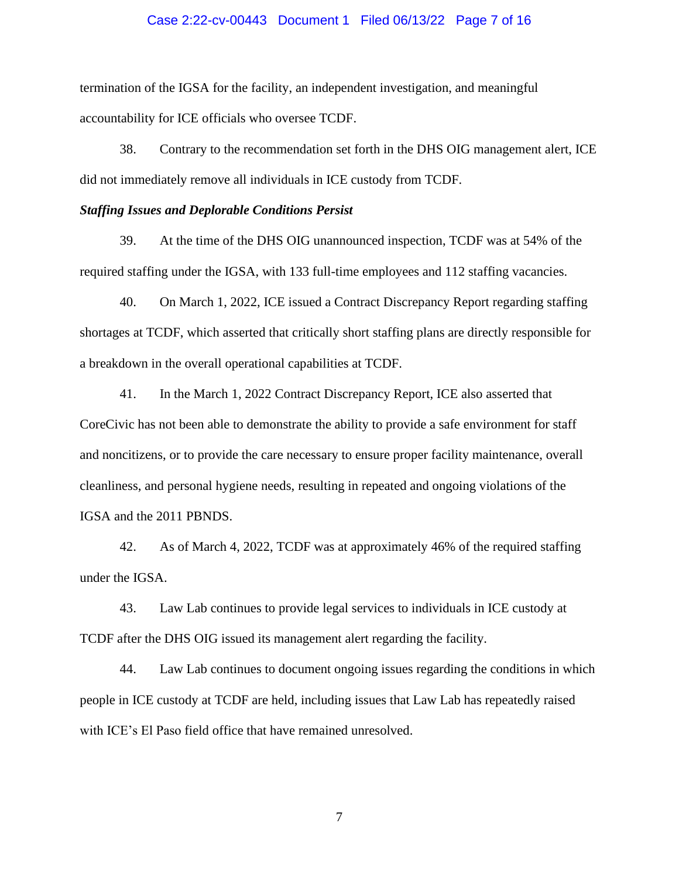#### Case 2:22-cv-00443 Document 1 Filed 06/13/22 Page 7 of 16

termination of the IGSA for the facility, an independent investigation, and meaningful accountability for ICE officials who oversee TCDF.

38. Contrary to the recommendation set forth in the DHS OIG management alert, ICE did not immediately remove all individuals in ICE custody from TCDF.

## *Staffing Issues and Deplorable Conditions Persist*

39. At the time of the DHS OIG unannounced inspection, TCDF was at 54% of the required staffing under the IGSA, with 133 full-time employees and 112 staffing vacancies.

40. On March 1, 2022, ICE issued a Contract Discrepancy Report regarding staffing shortages at TCDF, which asserted that critically short staffing plans are directly responsible for a breakdown in the overall operational capabilities at TCDF.

41. In the March 1, 2022 Contract Discrepancy Report, ICE also asserted that CoreCivic has not been able to demonstrate the ability to provide a safe environment for staff and noncitizens, or to provide the care necessary to ensure proper facility maintenance, overall cleanliness, and personal hygiene needs, resulting in repeated and ongoing violations of the IGSA and the 2011 PBNDS.

42. As of March 4, 2022, TCDF was at approximately 46% of the required staffing under the IGSA.

43. Law Lab continues to provide legal services to individuals in ICE custody at TCDF after the DHS OIG issued its management alert regarding the facility.

44. Law Lab continues to document ongoing issues regarding the conditions in which people in ICE custody at TCDF are held, including issues that Law Lab has repeatedly raised with ICE's El Paso field office that have remained unresolved.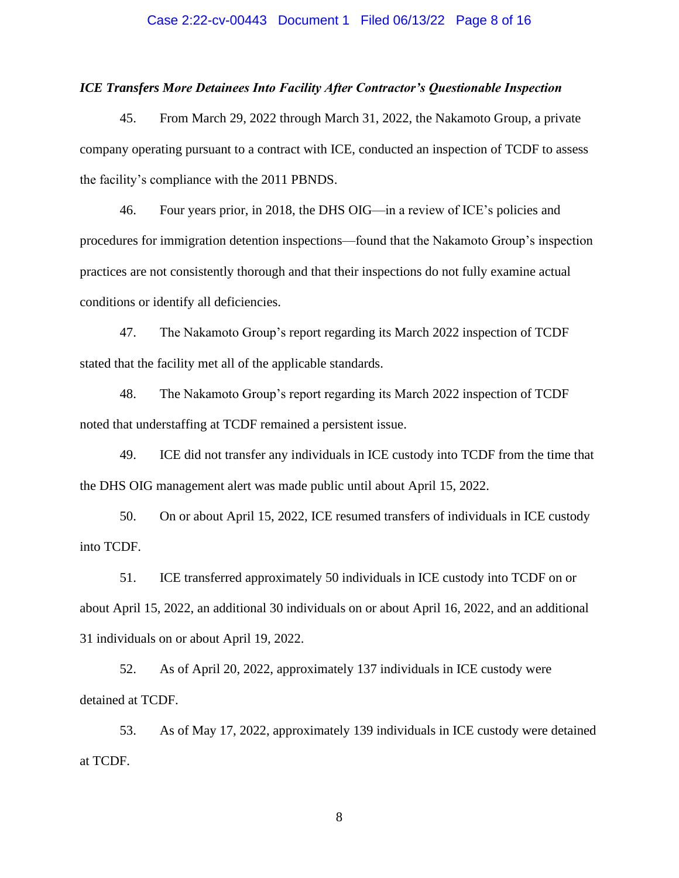#### Case 2:22-cv-00443 Document 1 Filed 06/13/22 Page 8 of 16

## *ICE Transfers More Detainees Into Facility After Contractor's Questionable Inspection*

45. From March 29, 2022 through March 31, 2022, the Nakamoto Group, a private company operating pursuant to a contract with ICE, conducted an inspection of TCDF to assess the facility's compliance with the 2011 PBNDS.

46. Four years prior, in 2018, the DHS OIG—in a review of ICE's policies and procedures for immigration detention inspections—found that the Nakamoto Group's inspection practices are not consistently thorough and that their inspections do not fully examine actual conditions or identify all deficiencies.

47. The Nakamoto Group's report regarding its March 2022 inspection of TCDF stated that the facility met all of the applicable standards.

48. The Nakamoto Group's report regarding its March 2022 inspection of TCDF noted that understaffing at TCDF remained a persistent issue.

49. ICE did not transfer any individuals in ICE custody into TCDF from the time that the DHS OIG management alert was made public until about April 15, 2022.

50. On or about April 15, 2022, ICE resumed transfers of individuals in ICE custody into TCDF.

51. ICE transferred approximately 50 individuals in ICE custody into TCDF on or about April 15, 2022, an additional 30 individuals on or about April 16, 2022, and an additional 31 individuals on or about April 19, 2022.

52. As of April 20, 2022, approximately 137 individuals in ICE custody were detained at TCDF.

53. As of May 17, 2022, approximately 139 individuals in ICE custody were detained at TCDF.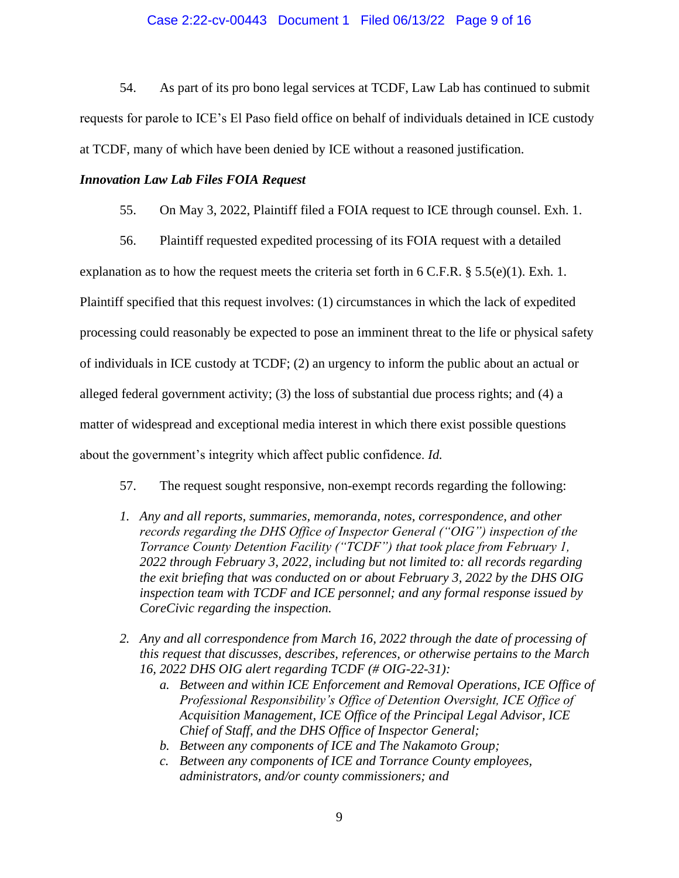## Case 2:22-cv-00443 Document 1 Filed 06/13/22 Page 9 of 16

54. As part of its pro bono legal services at TCDF, Law Lab has continued to submit requests for parole to ICE's El Paso field office on behalf of individuals detained in ICE custody at TCDF, many of which have been denied by ICE without a reasoned justification.

## *Innovation Law Lab Files FOIA Request*

- 55. On May 3, 2022, Plaintiff filed a FOIA request to ICE through counsel. Exh. 1.
- 56. Plaintiff requested expedited processing of its FOIA request with a detailed

explanation as to how the request meets the criteria set forth in 6 C.F.R.  $\S 5.5(e)(1)$ . Exh. 1. Plaintiff specified that this request involves: (1) circumstances in which the lack of expedited processing could reasonably be expected to pose an imminent threat to the life or physical safety of individuals in ICE custody at TCDF; (2) an urgency to inform the public about an actual or alleged federal government activity; (3) the loss of substantial due process rights; and (4) a matter of widespread and exceptional media interest in which there exist possible questions about the government's integrity which affect public confidence. *Id.*

- 57. The request sought responsive, non-exempt records regarding the following:
- *1. Any and all reports, summaries, memoranda, notes, correspondence, and other records regarding the DHS Office of Inspector General ("OIG") inspection of the Torrance County Detention Facility ("TCDF") that took place from February 1, 2022 through February 3, 2022, including but not limited to: all records regarding the exit briefing that was conducted on or about February 3, 2022 by the DHS OIG inspection team with TCDF and ICE personnel; and any formal response issued by CoreCivic regarding the inspection.*
- *2. Any and all correspondence from March 16, 2022 through the date of processing of this request that discusses, describes, references, or otherwise pertains to the March 16, 2022 DHS OIG alert regarding TCDF (# OIG-22-31):*
	- *a. Between and within ICE Enforcement and Removal Operations, ICE Office of Professional Responsibility's Office of Detention Oversight, ICE Office of Acquisition Management, ICE Office of the Principal Legal Advisor, ICE Chief of Staff, and the DHS Office of Inspector General;*
	- *b. Between any components of ICE and The Nakamoto Group;*
	- *c. Between any components of ICE and Torrance County employees, administrators, and/or county commissioners; and*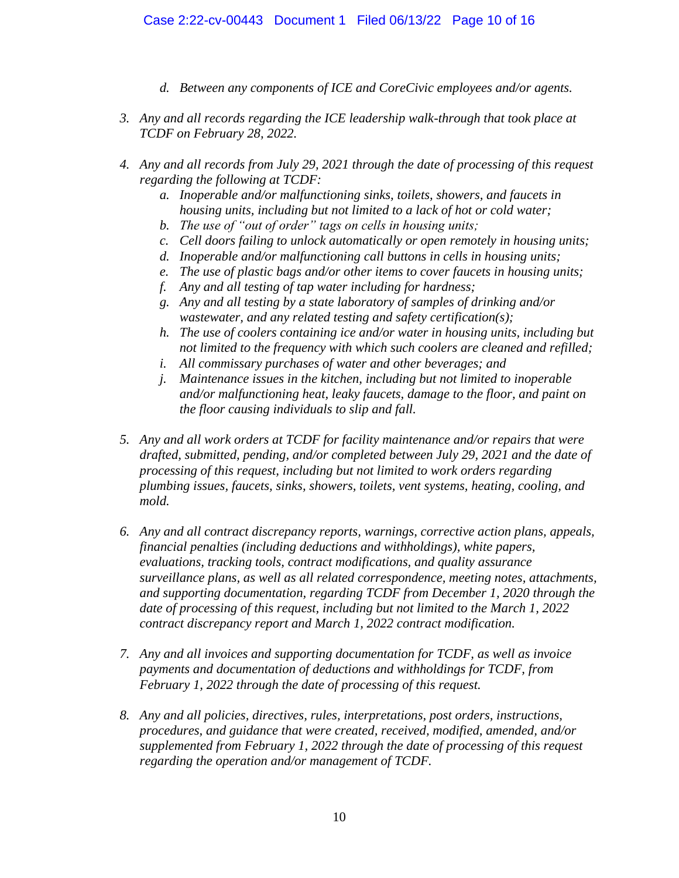- *d. Between any components of ICE and CoreCivic employees and/or agents.*
- *3. Any and all records regarding the ICE leadership walk-through that took place at TCDF on February 28, 2022.*
- *4. Any and all records from July 29, 2021 through the date of processing of this request regarding the following at TCDF:*
	- *a. Inoperable and/or malfunctioning sinks, toilets, showers, and faucets in housing units, including but not limited to a lack of hot or cold water;*
	- *b. The use of "out of order" tags on cells in housing units;*
	- *c. Cell doors failing to unlock automatically or open remotely in housing units;*
	- *d. Inoperable and/or malfunctioning call buttons in cells in housing units;*
	- *e. The use of plastic bags and/or other items to cover faucets in housing units;*
	- *f. Any and all testing of tap water including for hardness;*
	- *g. Any and all testing by a state laboratory of samples of drinking and/or wastewater, and any related testing and safety certification(s);*
	- *h. The use of coolers containing ice and/or water in housing units, including but not limited to the frequency with which such coolers are cleaned and refilled;*
	- *i. All commissary purchases of water and other beverages; and*
	- *j. Maintenance issues in the kitchen, including but not limited to inoperable and/or malfunctioning heat, leaky faucets, damage to the floor, and paint on the floor causing individuals to slip and fall.*
- *5. Any and all work orders at TCDF for facility maintenance and/or repairs that were drafted, submitted, pending, and/or completed between July 29, 2021 and the date of processing of this request, including but not limited to work orders regarding plumbing issues, faucets, sinks, showers, toilets, vent systems, heating, cooling, and mold.*
- *6. Any and all contract discrepancy reports, warnings, corrective action plans, appeals, financial penalties (including deductions and withholdings), white papers, evaluations, tracking tools, contract modifications, and quality assurance surveillance plans, as well as all related correspondence, meeting notes, attachments, and supporting documentation, regarding TCDF from December 1, 2020 through the date of processing of this request, including but not limited to the March 1, 2022 contract discrepancy report and March 1, 2022 contract modification.*
- *7. Any and all invoices and supporting documentation for TCDF, as well as invoice payments and documentation of deductions and withholdings for TCDF, from February 1, 2022 through the date of processing of this request.*
- *8. Any and all policies, directives, rules, interpretations, post orders, instructions, procedures, and guidance that were created, received, modified, amended, and/or supplemented from February 1, 2022 through the date of processing of this request regarding the operation and/or management of TCDF.*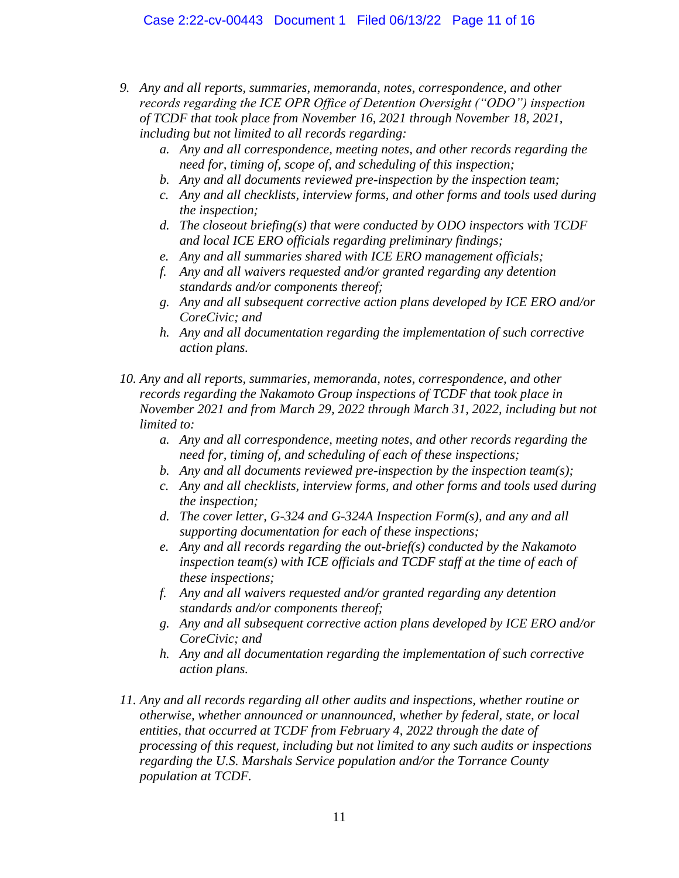- *9. Any and all reports, summaries, memoranda, notes, correspondence, and other records regarding the ICE OPR Office of Detention Oversight ("ODO") inspection of TCDF that took place from November 16, 2021 through November 18, 2021, including but not limited to all records regarding:* 
	- *a. Any and all correspondence, meeting notes, and other records regarding the need for, timing of, scope of, and scheduling of this inspection;*
	- *b. Any and all documents reviewed pre-inspection by the inspection team;*
	- *c. Any and all checklists, interview forms, and other forms and tools used during the inspection;*
	- *d. The closeout briefing(s) that were conducted by ODO inspectors with TCDF and local ICE ERO officials regarding preliminary findings;*
	- *e. Any and all summaries shared with ICE ERO management officials;*
	- *f. Any and all waivers requested and/or granted regarding any detention standards and/or components thereof;*
	- *g. Any and all subsequent corrective action plans developed by ICE ERO and/or CoreCivic; and*
	- *h. Any and all documentation regarding the implementation of such corrective action plans.*
- *10. Any and all reports, summaries, memoranda, notes, correspondence, and other records regarding the Nakamoto Group inspections of TCDF that took place in November 2021 and from March 29, 2022 through March 31, 2022, including but not limited to:* 
	- *a. Any and all correspondence, meeting notes, and other records regarding the need for, timing of, and scheduling of each of these inspections;*
	- *b. Any and all documents reviewed pre-inspection by the inspection team(s);*
	- *c. Any and all checklists, interview forms, and other forms and tools used during the inspection;*
	- *d. The cover letter, G-324 and G-324A Inspection Form(s), and any and all supporting documentation for each of these inspections;*
	- *e. Any and all records regarding the out-brief(s) conducted by the Nakamoto inspection team(s) with ICE officials and TCDF staff at the time of each of these inspections;*
	- *f. Any and all waivers requested and/or granted regarding any detention standards and/or components thereof;*
	- *g. Any and all subsequent corrective action plans developed by ICE ERO and/or CoreCivic; and*
	- *h. Any and all documentation regarding the implementation of such corrective action plans.*
- *11. Any and all records regarding all other audits and inspections, whether routine or otherwise, whether announced or unannounced, whether by federal, state, or local entities, that occurred at TCDF from February 4, 2022 through the date of processing of this request, including but not limited to any such audits or inspections regarding the U.S. Marshals Service population and/or the Torrance County population at TCDF.*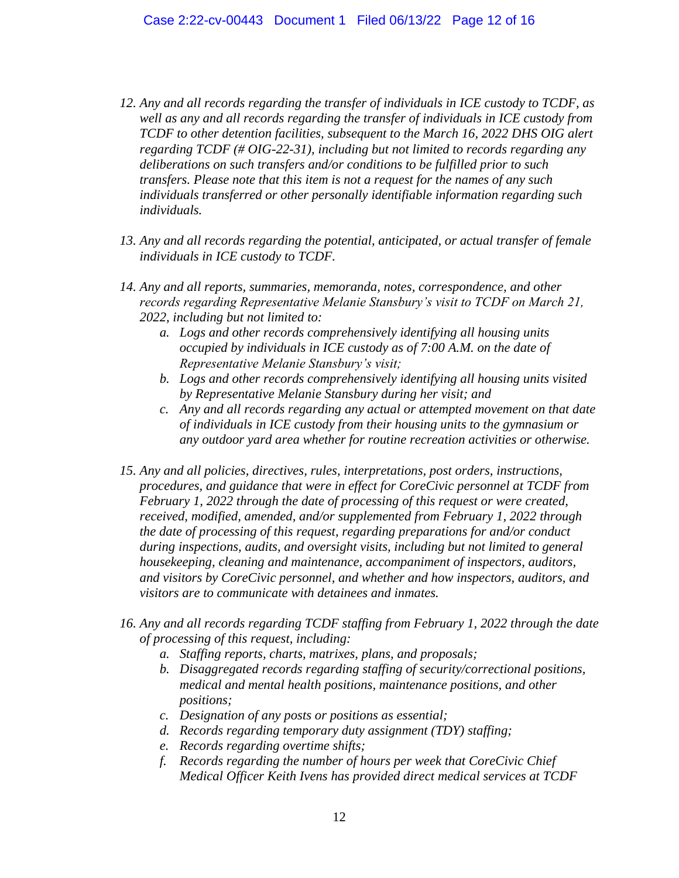- *12. Any and all records regarding the transfer of individuals in ICE custody to TCDF, as well as any and all records regarding the transfer of individuals in ICE custody from TCDF to other detention facilities, subsequent to the March 16, 2022 DHS OIG alert regarding TCDF (# OIG-22-31), including but not limited to records regarding any deliberations on such transfers and/or conditions to be fulfilled prior to such transfers. Please note that this item is not a request for the names of any such individuals transferred or other personally identifiable information regarding such individuals.*
- *13. Any and all records regarding the potential, anticipated, or actual transfer of female individuals in ICE custody to TCDF.*
- *14. Any and all reports, summaries, memoranda, notes, correspondence, and other records regarding Representative Melanie Stansbury's visit to TCDF on March 21, 2022, including but not limited to:* 
	- *a. Logs and other records comprehensively identifying all housing units occupied by individuals in ICE custody as of 7:00 A.M. on the date of Representative Melanie Stansbury's visit;*
	- *b. Logs and other records comprehensively identifying all housing units visited by Representative Melanie Stansbury during her visit; and*
	- *c. Any and all records regarding any actual or attempted movement on that date of individuals in ICE custody from their housing units to the gymnasium or any outdoor yard area whether for routine recreation activities or otherwise.*
- *15. Any and all policies, directives, rules, interpretations, post orders, instructions, procedures, and guidance that were in effect for CoreCivic personnel at TCDF from February 1, 2022 through the date of processing of this request or were created, received, modified, amended, and/or supplemented from February 1, 2022 through the date of processing of this request, regarding preparations for and/or conduct during inspections, audits, and oversight visits, including but not limited to general housekeeping, cleaning and maintenance, accompaniment of inspectors, auditors, and visitors by CoreCivic personnel, and whether and how inspectors, auditors, and visitors are to communicate with detainees and inmates.*
- *16. Any and all records regarding TCDF staffing from February 1, 2022 through the date of processing of this request, including:* 
	- *a. Staffing reports, charts, matrixes, plans, and proposals;*
	- *b. Disaggregated records regarding staffing of security/correctional positions, medical and mental health positions, maintenance positions, and other positions;*
	- *c. Designation of any posts or positions as essential;*
	- *d. Records regarding temporary duty assignment (TDY) staffing;*
	- *e. Records regarding overtime shifts;*
	- *f. Records regarding the number of hours per week that CoreCivic Chief Medical Officer Keith Ivens has provided direct medical services at TCDF*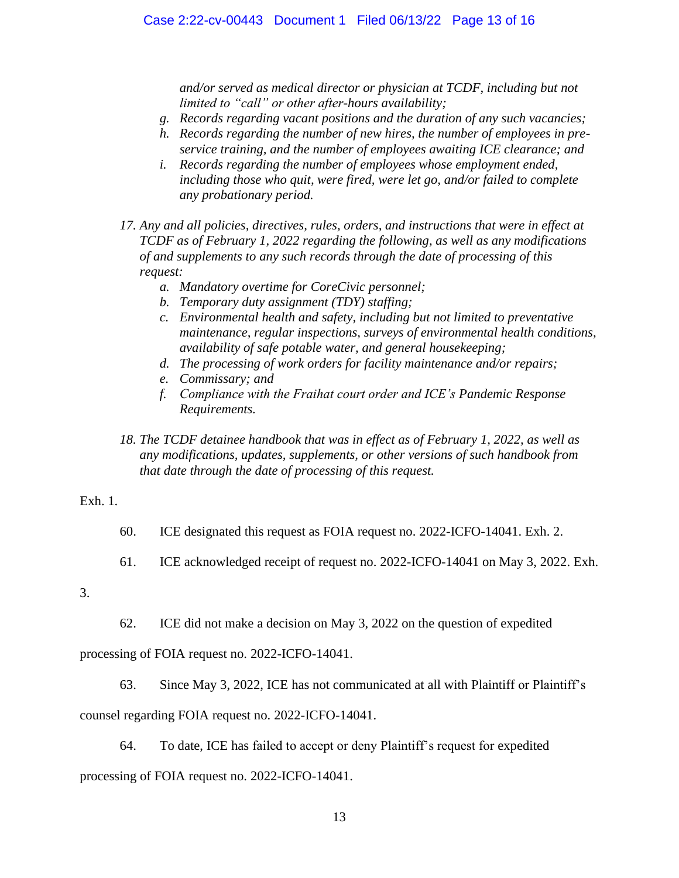*and/or served as medical director or physician at TCDF, including but not limited to "call" or other after-hours availability;*

- *g. Records regarding vacant positions and the duration of any such vacancies;*
- *h. Records regarding the number of new hires, the number of employees in preservice training, and the number of employees awaiting ICE clearance; and*
- *i. Records regarding the number of employees whose employment ended, including those who quit, were fired, were let go, and/or failed to complete any probationary period.*
- *17. Any and all policies, directives, rules, orders, and instructions that were in effect at TCDF as of February 1, 2022 regarding the following, as well as any modifications of and supplements to any such records through the date of processing of this request:*
	- *a. Mandatory overtime for CoreCivic personnel;*
	- *b. Temporary duty assignment (TDY) staffing;*
	- *c. Environmental health and safety, including but not limited to preventative maintenance, regular inspections, surveys of environmental health conditions, availability of safe potable water, and general housekeeping;*
	- *d. The processing of work orders for facility maintenance and/or repairs;*
	- *e. Commissary; and*
	- *f. Compliance with the Fraihat court order and ICE's Pandemic Response Requirements.*
- *18. The TCDF detainee handbook that was in effect as of February 1, 2022, as well as any modifications, updates, supplements, or other versions of such handbook from that date through the date of processing of this request.*

# Exh. 1.

- 60. ICE designated this request as FOIA request no. 2022-ICFO-14041. Exh. 2.
- 61. ICE acknowledged receipt of request no. 2022-ICFO-14041 on May 3, 2022. Exh.
- 3.
- 62. ICE did not make a decision on May 3, 2022 on the question of expedited

processing of FOIA request no. 2022-ICFO-14041.

63. Since May 3, 2022, ICE has not communicated at all with Plaintiff or Plaintiff's

counsel regarding FOIA request no. 2022-ICFO-14041.

64. To date, ICE has failed to accept or deny Plaintiff's request for expedited

processing of FOIA request no. 2022-ICFO-14041.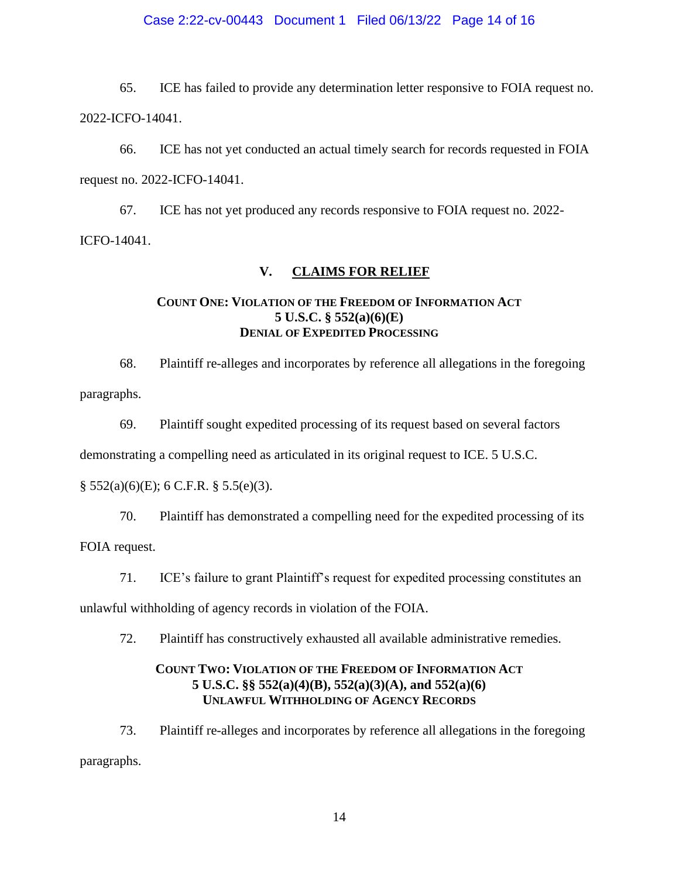## Case 2:22-cv-00443 Document 1 Filed 06/13/22 Page 14 of 16

65. ICE has failed to provide any determination letter responsive to FOIA request no. 2022-ICFO-14041.

66. ICE has not yet conducted an actual timely search for records requested in FOIA request no. 2022-ICFO-14041.

67. ICE has not yet produced any records responsive to FOIA request no. 2022- ICFO-14041.

## **V. CLAIMS FOR RELIEF**

## **COUNT ONE: VIOLATION OF THE FREEDOM OF INFORMATION ACT 5 U.S.C. § 552(a)(6)(E) DENIAL OF EXPEDITED PROCESSING**

68. Plaintiff re-alleges and incorporates by reference all allegations in the foregoing paragraphs.

69. Plaintiff sought expedited processing of its request based on several factors

demonstrating a compelling need as articulated in its original request to ICE. 5 U.S.C.

 $\S$  552(a)(6)(E); 6 C.F.R.  $\S$  5.5(e)(3).

70. Plaintiff has demonstrated a compelling need for the expedited processing of its

FOIA request.

71. ICE's failure to grant Plaintiff's request for expedited processing constitutes an

unlawful withholding of agency records in violation of the FOIA.

72. Plaintiff has constructively exhausted all available administrative remedies.

# **COUNT TWO: VIOLATION OF THE FREEDOM OF INFORMATION ACT 5 U.S.C. §§ 552(a)(4)(B), 552(a)(3)(A), and 552(a)(6) UNLAWFUL WITHHOLDING OF AGENCY RECORDS**

73. Plaintiff re-alleges and incorporates by reference all allegations in the foregoing paragraphs.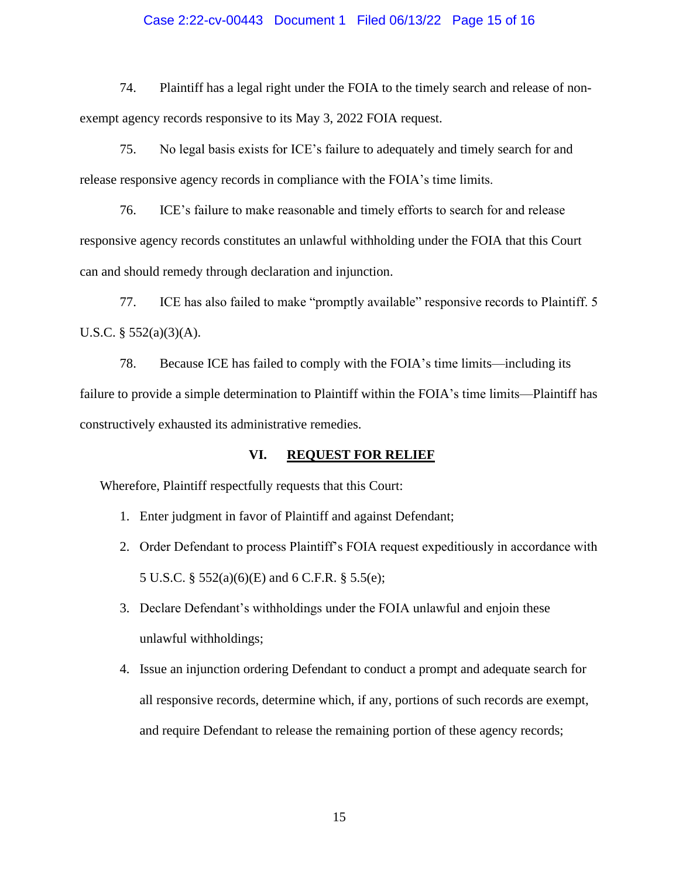## Case 2:22-cv-00443 Document 1 Filed 06/13/22 Page 15 of 16

74. Plaintiff has a legal right under the FOIA to the timely search and release of nonexempt agency records responsive to its May 3, 2022 FOIA request.

75. No legal basis exists for ICE's failure to adequately and timely search for and release responsive agency records in compliance with the FOIA's time limits.

76. ICE's failure to make reasonable and timely efforts to search for and release responsive agency records constitutes an unlawful withholding under the FOIA that this Court can and should remedy through declaration and injunction.

77. ICE has also failed to make "promptly available" responsive records to Plaintiff. 5 U.S.C. § 552(a)(3)(A).

78. Because ICE has failed to comply with the FOIA's time limits—including its failure to provide a simple determination to Plaintiff within the FOIA's time limits—Plaintiff has constructively exhausted its administrative remedies.

## **VI. REQUEST FOR RELIEF**

Wherefore, Plaintiff respectfully requests that this Court:

- 1. Enter judgment in favor of Plaintiff and against Defendant;
- 2. Order Defendant to process Plaintiff's FOIA request expeditiously in accordance with 5 U.S.C. § 552(a)(6)(E) and 6 C.F.R. § 5.5(e);
- 3. Declare Defendant's withholdings under the FOIA unlawful and enjoin these unlawful withholdings;
- 4. Issue an injunction ordering Defendant to conduct a prompt and adequate search for all responsive records, determine which, if any, portions of such records are exempt, and require Defendant to release the remaining portion of these agency records;